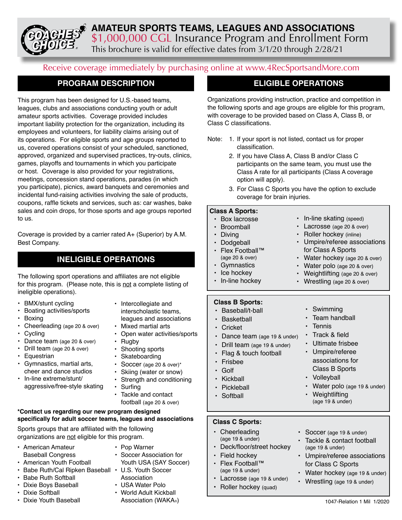### **AMATEUR SPORTS TEAMS, LEAGUES AND ASSOCIATIONS** \$1,000,000 CGL Insurance Program and Enrollment Form This brochure is valid for effective dates from 3/1/20 through 2/28/21

Receive coverage immediately by purchasing online at www.4RecSportsandMore.com

### **PROGRAM DESCRIPTION**

This program has been designed for U.S.-based teams, leagues, clubs and associations conducting youth or adult amateur sports activities. Coverage provided includes important liability protection for the organization, including its employees and volunteers, for liability claims arising out of its operations. For eligible sports and age groups reported to us, covered operations consist of your scheduled, sanctioned, approved, organized and supervised practices, try-outs, clinics, games, playoffs and tournaments in which you participate or host. Coverage is also provided for your registrations, meetings, concession stand operations, parades (in which you participate), picnics, award banquets and ceremonies and incidental fund-raising activities involving the sale of products, coupons, raffle tickets and services, such as: car washes, bake sales and coin drops, for those sports and age groups reported to us.

Coverage is provided by a carrier rated A+ (Superior) by A.M. Best Company.

### **INELIGIBLE OPERATIONS**

The following sport operations and affiliates are not eligible for this program. (Please note, this is not a complete listing of ineligible operations).

- BMX/stunt cycling
- Boating activities/sports
- Boxing
- Cheerleading (age 20 & over)
- Cycling
- Dance team (age 20 & over)
- Drill team (age 20 & over)
- Equestrian
- Gymnastics, martial arts, cheer and dance studios
- In-line extreme/stunt/ aggressive/free-style skating
- Intercollegiate and
	- interscholastic teams, leagues and associations
- Mixed martial arts
- Open water activities/sports
- **Rugby**
- Shooting sports
- **Skateboarding**
- Soccer (age 20 & over)\*
- Skiing (water or snow)
- Strength and conditioning **Surfing**
- Tackle and contact football (age 20 & over)

#### **\*Contact us regarding our new program designed specifically for adult soccer teams, leagues and associations**

Sports groups that are affiliated with the following organizations are not eligible for this program.

- American Amateur Baseball Congress
- American Youth Football
- Babe Ruth/Cal Ripken Baseball U.S. Youth Soccer
- Babe Ruth Softball
- Dixie Boys Baseball
- Dixie Softball
- Dixie Youth Baseball
- Soccer Association for Youth USA (SAY Soccer) Association
- USA Water Polo

• Pop Warner

• World Adult Kickball Association (WAKA®)

### **ELIGIBLE OPERATIONS**

Organizations providing instruction, practice and competition in the following sports and age groups are eligible for this program, with coverage to be provided based on Class A, Class B, or Class C classifications.

- Note: 1. If your sport is not listed, contact us for proper classification.
	- 2. If you have Class A, Class B and/or Class C participants on the same team, you must use the Class A rate for all participants (Class A coverage option will apply).
	- 3. For Class C Sports you have the option to exclude coverage for brain injuries.

#### **Class A Sports:**

- **Class B Sports:** • Baseball/t-ball • Basketball • Cricket • Box lacrosse • Broomball • Diving • Dodgeball • Flex Football™ (age 20 & over) **Gymnastics** Ice hockey • In-line hockey • In-line skating (speed) • Lacrosse (age 20 & over) • Roller hockey (inline) • Umpire/referee associations for Class A Sports • Water hockey (age 20 & over) • Water polo (age 20 & over) • Weightlifting (age 20 & over) • Wrestling (age 20 & over) • Swimming • Team handball **Tennis**
- Dance team (age 19 & under)
- Drill team (age 19 & under)
- Flag & touch football
- Frisbee
- Golf
- Kickball
- Pickleball
- Softball
- 

#### **Class C Sports:**

- Cheerleading (age 19 & under)
- Deck/floor/street hockey
- Field hockey
- Flex Football™ (age 19 & under)
- Lacrosse (age 19 & under)
- Roller hockey (quad)
- Soccer (age 19 & under)

• Track & field • Ultimate frisbee • Umpire/referee associations for Class B Sports

• Volleyball

• Weightlifting (age 19 & under)

- Tackle & contact football (age 19 & under)
- Umpire/referee associations for Class C Sports

• Water polo (age 19 & under)

- Water hockey (age 19 & under)
- Wrestling (age 19 & under)
	- 1047-Relation 1 Mil 1/2020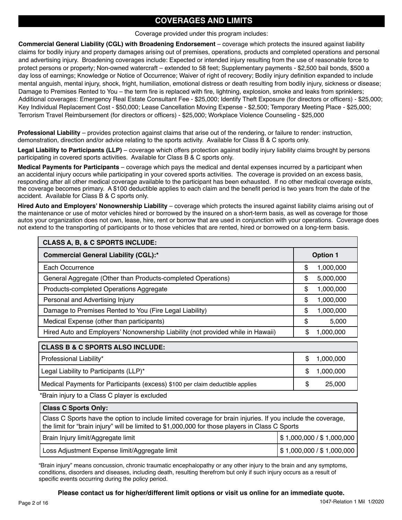### **COVERAGES AND LIMITS**

#### Coverage provided under this program includes:

**Commercial General Liability (CGL) with Broadening Endorsement** – coverage which protects the insured against liability claims for bodily injury and property damages arising out of premises, operations, products and completed operations and personal and advertising injury. Broadening coverages include: Expected or intended injury resulting from the use of reasonable force to protect persons or property; Non-owned watercraft – extended to 58 feet; Supplementary payments - \$2,500 bail bonds, \$500 a day loss of earnings; Knowledge or Notice of Occurrence; Waiver of right of recovery; Bodily injury definition expanded to include mental anguish, mental injury, shock, fright, humiliation, emotional distress or death resulting from bodily injury, sickness or disease; Damage to Premises Rented to You – the term fire is replaced with fire, lightning, explosion, smoke and leaks from sprinklers; Additional coverages: Emergency Real Estate Consultant Fee - \$25,000; Identify Theft Exposure (for directors or officers) - \$25,000; Key Individual Replacement Cost - \$50,000; Lease Cancellation Moving Expense - \$2,500; Temporary Meeting Place - \$25,000; Terrorism Travel Reimbursement (for directors or officers) - \$25,000; Workplace Violence Counseling - \$25,000

**Professional Liability** – provides protection against claims that arise out of the rendering, or failure to render: instruction, demonstration, direction and/or advice relating to the sports activity. Available for Class B & C sports only.

**Legal Liability to Participants (LLP)** – coverage which offers protection against bodily injury liability claims brought by persons participating in covered sports activities. Available for Class B & C sports only.

**Medical Payments for Participants** – coverage which pays the medical and dental expenses incurred by a participant when an accidental injury occurs while participating in your covered sports activities. The coverage is provided on an excess basis, responding after all other medical coverage available to the participant has been exhausted. If no other medical coverage exists, the coverage becomes primary. A \$100 deductible applies to each claim and the benefit period is two years from the date of the accident. Available for Class B & C sports only.

**Hired Auto and Employers' Nonownership Liability** – coverage which protects the insured against liability claims arising out of the maintenance or use of motor vehicles hired or borrowed by the insured on a short-term basis, as well as coverage for those autos your organization does not own, lease, hire, rent or borrow that are used in conjunction with your operations. Coverage does not extend to the transporting of participants or to those vehicles that are rented, hired or borrowed on a long-term basis.

| <b>CLASS A, B, &amp; C SPORTS INCLUDE:</b>                                      |                 |           |  |  |  |
|---------------------------------------------------------------------------------|-----------------|-----------|--|--|--|
| <b>Commercial General Liability (CGL):*</b>                                     | <b>Option 1</b> |           |  |  |  |
| Each Occurrence                                                                 | \$              | 1,000,000 |  |  |  |
| General Aggregate (Other than Products-completed Operations)                    | \$              | 5,000,000 |  |  |  |
| Products-completed Operations Aggregate                                         | \$              | 1,000,000 |  |  |  |
| Personal and Advertising Injury                                                 | \$              | 1,000,000 |  |  |  |
| Damage to Premises Rented to You (Fire Legal Liability)                         | \$              | 1,000,000 |  |  |  |
| Medical Expense (other than participants)                                       | \$              | 5,000     |  |  |  |
| Hired Auto and Employers' Nonownership Liability (not provided while in Hawaii) | \$              | 1,000,000 |  |  |  |
| <b>CLASS B &amp; C SPORTS ALSO INCLUDE:</b>                                     |                 |           |  |  |  |
| Professional Liability*                                                         | \$              | 1,000,000 |  |  |  |
| Legal Liability to Participants (LLP)*                                          | \$              | 1,000,000 |  |  |  |
| Medical Payments for Participants (excess) \$100 per claim deductible applies   | \$              | 25,000    |  |  |  |

\*Brain injury to a Class C player is excluded

| <b>Class C Sports Only:</b>                                                                                                                                                                                    |                                           |  |  |  |
|----------------------------------------------------------------------------------------------------------------------------------------------------------------------------------------------------------------|-------------------------------------------|--|--|--|
| Class C Sports have the option to include limited coverage for brain injuries. If you include the coverage,<br>the limit for "brain injury" will be limited to \$1,000,000 for those players in Class C Sports |                                           |  |  |  |
| Brain Injury limit/Aggregate limit                                                                                                                                                                             | $\frac{1}{2}$ \$ 1,000,000 / \$ 1,000,000 |  |  |  |
| Loss Adjustment Expense limit/Aggregate limit                                                                                                                                                                  | $\frac{1}{2}$ \$ 1,000,000 / \$ 1,000,000 |  |  |  |

"Brain injury" means concussion, chronic traumatic encephalopathy or any other injury to the brain and any symptoms, conditions, disorders and diseases, including death, resulting therefrom but only if such injury occurs as a result of specific events occurring during the policy period.

**Please contact us for higher/different limit options or visit us online for an immediate quote.**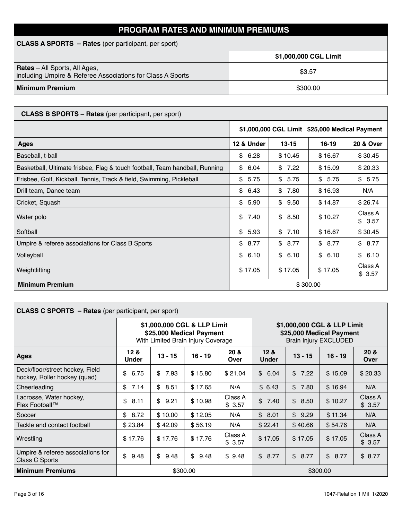### **PROGRAM RATES AND MINIMUM PREMIUMS**

| <b>CLASS A SPORTS – Rates</b> (per participant, per sport)                                         |                       |  |  |  |  |
|----------------------------------------------------------------------------------------------------|-----------------------|--|--|--|--|
|                                                                                                    | \$1,000,000 CGL Limit |  |  |  |  |
| <b>Rates</b> – All Sports, All Ages,<br>including Umpire & Referee Associations for Class A Sports | \$3.57                |  |  |  |  |
| <b>Minimum Premium</b>                                                                             | \$300.00              |  |  |  |  |

| <b>CLASS B SPORTS - Rates</b> (per participant, per sport)                  |            |                                                |            |                      |  |  |
|-----------------------------------------------------------------------------|------------|------------------------------------------------|------------|----------------------|--|--|
|                                                                             |            | \$1,000,000 CGL Limit \$25,000 Medical Payment |            |                      |  |  |
| <b>Ages</b>                                                                 | 12 & Under | $13 - 15$                                      | $16 - 19$  | <b>20 &amp; Over</b> |  |  |
| Baseball, t-ball                                                            | \$<br>6.28 | \$10.45                                        | \$16.67    | \$30.45              |  |  |
| Basketball, Ultimate frisbee, Flag & touch football, Team handball, Running | \$<br>6.04 | 7.22<br>\$                                     | \$15.09    | \$20.33              |  |  |
| Frisbee, Golf, Kickball, Tennis, Track & field, Swimming, Pickleball        | \$<br>5.75 | \$<br>5.75                                     | \$<br>5.75 | \$5.75               |  |  |
| Drill team, Dance team                                                      | \$<br>6.43 | \$7.80                                         | \$16.93    | N/A                  |  |  |
| Cricket, Squash                                                             | \$<br>5.90 | \$<br>9.50                                     | \$14.87    | \$26.74              |  |  |
| Water polo                                                                  | \$<br>7.40 | \$<br>8.50                                     | \$10.27    | Class A<br>\$3.57    |  |  |
| Softball                                                                    | \$<br>5.93 | \$<br>7.10                                     | \$16.67    | \$30.45              |  |  |
| Umpire & referee associations for Class B Sports                            | \$<br>8.77 | \$<br>8.77                                     | \$8.77     | \$8.77               |  |  |
| Volleyball                                                                  | \$<br>6.10 | \$<br>6.10                                     | \$<br>6.10 | \$6.10               |  |  |
| Weightlifting                                                               | \$17.05    | \$17.05                                        | \$17.05    | Class A<br>\$3.57    |  |  |
| <b>Minimum Premium</b>                                                      |            |                                                | \$300.00   |                      |  |  |

| <b>CLASS C SPORTS - Rates (per participant, per sport)</b>      |                                 |                                                                                               |            |                   |                                                                                         |                      |            |                   |  |
|-----------------------------------------------------------------|---------------------------------|-----------------------------------------------------------------------------------------------|------------|-------------------|-----------------------------------------------------------------------------------------|----------------------|------------|-------------------|--|
|                                                                 |                                 | \$1,000,000 CGL & LLP Limit<br>\$25,000 Medical Payment<br>With Limited Brain Injury Coverage |            |                   | \$1,000,000 CGL & LLP Limit<br>\$25,000 Medical Payment<br><b>Brain Injury EXCLUDED</b> |                      |            |                   |  |
| <b>Ages</b>                                                     | 12 <sub>8</sub><br><b>Under</b> | $13 - 15$                                                                                     | $16 - 19$  | 20 &<br>Over      | 12 <sub>8</sub><br>20 <sub>8</sub><br>$16 - 19$<br>$13 - 15$<br><b>Under</b><br>Over    |                      |            |                   |  |
| Deck/floor/street hockey, Field<br>hockey, Roller hockey (quad) | \$<br>6.75                      | \$7.93                                                                                        | \$15.80    | \$21.04           | $\mathfrak{S}$<br>6.04                                                                  | $\mathbb{S}$<br>7.22 | \$15.09    | \$20.33           |  |
| Cheerleading                                                    | 7.14<br>\$                      | \$8.51                                                                                        | \$17.65    | N/A               | \$6.43                                                                                  | \$<br>7.80           | \$16.94    | N/A               |  |
| Lacrosse, Water hockey,<br>Flex Football™                       | \$<br>8.11                      | \$9.21                                                                                        | \$10.98    | Class A<br>\$3.57 | \$<br>7.40                                                                              | \$8.50               | \$10.27    | Class A<br>\$3.57 |  |
| Soccer                                                          | \$<br>8.72                      | \$10.00                                                                                       | \$12.05    | N/A               | \$<br>8.01                                                                              | $\mathbb{S}$<br>9.29 | \$11.34    | N/A               |  |
| Tackle and contact football                                     | \$23.84                         | \$42.09                                                                                       | \$56.19    | N/A               | \$22.41                                                                                 | \$40.66              | \$54.76    | N/A               |  |
| Wrestling                                                       | \$17.76                         | \$17.76                                                                                       | \$17.76    | Class A<br>\$3.57 | \$17.05                                                                                 | \$17.05              | \$17.05    | Class A<br>\$3.57 |  |
| Umpire & referee associations for<br>Class C Sports             | \$<br>9.48                      | \$<br>9.48                                                                                    | \$<br>9.48 | \$9.48            | $\frac{1}{2}$<br>8.77                                                                   | \$<br>8.77           | \$<br>8.77 | \$8.77            |  |
| <b>Minimum Premiums</b>                                         |                                 | \$300.00                                                                                      |            |                   |                                                                                         |                      | \$300.00   |                   |  |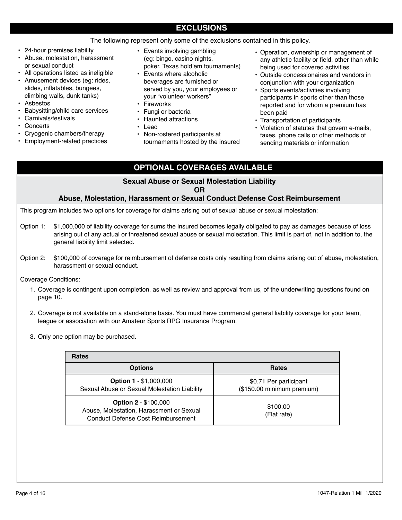### **EXCLUSIONS**

The following represent only some of the exclusions contained in this policy.

- 24-hour premises liability
- Abuse, molestation, harassment or sexual conduct
- All operations listed as ineligible
- Amusement devices (eg: rides, slides, inflatables, bungees, climbing walls, dunk tanks)
- Asbestos
- Babysitting/child care services
- Carnivals/festivals
- Concerts
- Cryogenic chambers/therapy
- Employment-related practices
- Events involving gambling (eg: bingo, casino nights, poker, Texas hold'em tournaments)
- Events where alcoholic beverages are furnished or served by you, your employees or your "volunteer workers"
- **Fireworks**
- Fungi or bacteria
- Haunted attractions
- Lead
- Non-rostered participants at tournaments hosted by the insured
- Operation, ownership or management of any athletic facility or field, other than while being used for covered activities
- Outside concessionaires and vendors in conjunction with your organization
- Sports events/activities involving participants in sports other than those reported and for whom a premium has been paid
- Transportation of participants
- Violation of statutes that govern e-mails, faxes, phone calls or other methods of sending materials or information

### **OPTIONAL COVERAGES AVAILABLE**

# **Sexual Abuse or Sexual Molestation Liability**

**OR**

#### **Abuse, Molestation, Harassment or Sexual Conduct Defense Cost Reimbursement**

This program includes two options for coverage for claims arising out of sexual abuse or sexual molestation:

- Option 1: \$1,000,000 of liability coverage for sums the insured becomes legally obligated to pay as damages because of loss arising out of any actual or threatened sexual abuse or sexual molestation. This limit is part of, not in addition to, the general liability limit selected.
- Option 2: \$100,000 of coverage for reimbursement of defense costs only resulting from claims arising out of abuse, molestation, harassment or sexual conduct.

Coverage Conditions:

- 1. Coverage is contingent upon completion, as well as review and approval from us, of the underwriting questions found on page 10.
- 2. Coverage is not available on a stand-alone basis. You must have commercial general liability coverage for your team, league or association with our Amateur Sports RPG Insurance Program.
- 3. Only one option may be purchased.

| <b>Rates</b>                                                                                                         |                                                      |
|----------------------------------------------------------------------------------------------------------------------|------------------------------------------------------|
| <b>Options</b>                                                                                                       | <b>Rates</b>                                         |
| <b>Option 1 - \$1,000,000</b><br>Sexual Abuse or Sexual Molestation Liability                                        | \$0.71 Per participant<br>(\$150.00 minimum premium) |
| <b>Option 2 - \$100,000</b><br>Abuse, Molestation, Harassment or Sexual<br><b>Conduct Defense Cost Reimbursement</b> | \$100.00<br>(Flat rate)                              |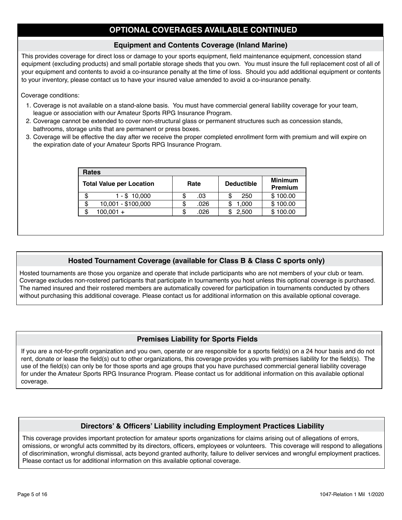### **OPTIONAL COVERAGES AVAILABLE CONTINUED**

#### **Equipment and Contents Coverage (Inland Marine)**

This provides coverage for direct loss or damage to your sports equipment, field maintenance equipment, concession stand equipment (excluding products) and small portable storage sheds that you own. You must insure the full replacement cost of all of your equipment and contents to avoid a co-insurance penalty at the time of loss. Should you add additional equipment or contents to your inventory, please contact us to have your insured value amended to avoid a co-insurance penalty.

#### Coverage conditions:

- 1. Coverage is not available on a stand-alone basis. You must have commercial general liability coverage for your team, league or association with our Amateur Sports RPG Insurance Program.
- 2. Coverage cannot be extended to cover non-structural glass or permanent structures such as concession stands, bathrooms, storage units that are permanent or press boxes.
- 3. Coverage will be effective the day after we receive the proper completed enrollment form with premium and will expire on the expiration date of your Amateur Sports RPG Insurance Program.

| <b>Rates</b> |                                 |   |      |  |                   |                                  |  |  |
|--------------|---------------------------------|---|------|--|-------------------|----------------------------------|--|--|
|              | <b>Total Value per Location</b> |   | Rate |  | <b>Deductible</b> | <b>Minimum</b><br><b>Premium</b> |  |  |
| S            | 1 - \$ 10,000                   |   | .03  |  | 250               | \$100.00                         |  |  |
| \$           | 10,001 - \$100,000              | S | .026 |  | 1,000             | \$100.00                         |  |  |
| ß.           | $100,001 +$                     | S | .026 |  | 2,500             | \$100.00                         |  |  |

#### **Hosted Tournament Coverage (available for Class B & Class C sports only)**

Hosted tournaments are those you organize and operate that include participants who are not members of your club or team. Coverage excludes non-rostered participants that participate in tournaments you host unless this optional coverage is purchased. The named insured and their rostered members are automatically covered for participation in tournaments conducted by others without purchasing this additional coverage. Please contact us for additional information on this available optional coverage.

#### **Premises Liability for Sports Fields**

If you are a not-for-profit organization and you own, operate or are responsible for a sports field(s) on a 24 hour basis and do not rent, donate or lease the field(s) out to other organizations, this coverage provides you with premises liability for the field(s). The use of the field(s) can only be for those sports and age groups that you have purchased commercial general liability coverage for under the Amateur Sports RPG Insurance Program. Please contact us for additional information on this available optional coverage.

#### **Directors' & Officers' Liability including Employment Practices Liability**

This coverage provides important protection for amateur sports organizations for claims arising out of allegations of errors, omissions, or wrongful acts committed by its directors, officers, employees or volunteers. This coverage will respond to allegations of discrimination, wrongful dismissal, acts beyond granted authority, failure to deliver services and wrongful employment practices. Please contact us for additional information on this available optional coverage.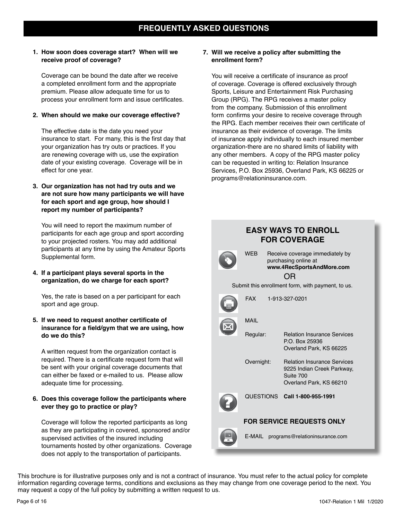#### **1. How soon does coverage start? When will we receive proof of coverage?**

Coverage can be bound the date after we receive a completed enrollment form and the appropriate premium. Please allow adequate time for us to process your enrollment form and issue certificates.

#### **2. When should we make our coverage effective?**

The effective date is the date you need your insurance to start. For many, this is the first day that your organization has try outs or practices. If you are renewing coverage with us, use the expiration date of your existing coverage. Coverage will be in effect for one year.

#### **3. Our organization has not had try outs and we are not sure how many participants we will have for each sport and age group, how should I report my number of participants?**

You will need to report the maximum number of participants for each age group and sport according to your projected rosters. You may add additional participants at any time by using the Amateur Sports Supplemental form.

#### **4. If a participant plays several sports in the organization, do we charge for each sport?**

Yes, the rate is based on a per participant for each sport and age group.

#### **5. If we need to request another certificate of insurance for a field/gym that we are using, how do we do this?**

A written request from the organization contact is required. There is a certificate request form that will be sent with your original coverage documents that can either be faxed or e-mailed to us. Please allow adequate time for processing.

#### **6. Does this coverage follow the participants where ever they go to practice or play?**

Coverage will follow the reported participants as long as they are participating in covered, sponsored and/or supervised activities of the insured including tournaments hosted by other organizations. Coverage does not apply to the transportation of participants.

#### **7. Will we receive a policy after submitting the enrollment form?**

You will receive a certificate of insurance as proof of coverage. Coverage is offered exclusively through Sports, Leisure and Entertainment Risk Purchasing Group (RPG). The RPG receives a master policy from the company. Submission of this enrollment form confirms your desire to receive coverage through the RPG. Each member receives their own certificate of insurance as their evidence of coverage. The limits of insurance apply individually to each insured member organization-there are no shared limits of liability with any other members. A copy of the RPG master policy can be requested in writing to: Relation Insurance Services, P.O. Box 25936, Overland Park, KS 66225 or programs@relationinsurance.com.



This brochure is for illustrative purposes only and is not a contract of insurance. You must refer to the actual policy for complete information regarding coverage terms, conditions and exclusions as they may change from one coverage period to the next. You may request a copy of the full policy by submitting a written request to us.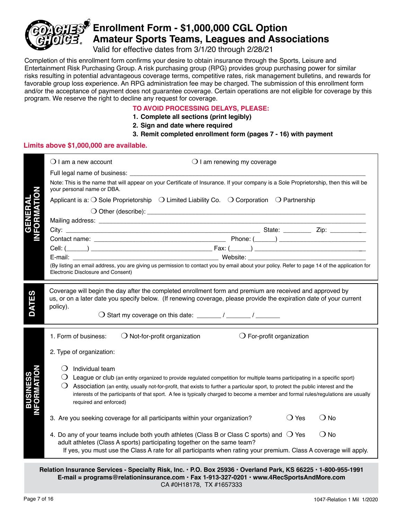

# **Enrollment Form - \$1,000,000 CGL Option Amateur Sports Teams, Leagues and Associations**

Valid for effective dates from 3/1/20 through 2/28/21

Completion of this enrollment form confirms your desire to obtain insurance through the Sports, Leisure and Entertainment Risk Purchasing Group. A risk purchasing group (RPG) provides group purchasing power for similar risks resulting in potential advantageous coverage terms, competitive rates, risk management bulletins, and rewards for favorable group loss experience. An RPG administration fee may be charged. The submission of this enrollment form and/or the acceptance of payment does not guarantee coverage. Certain operations are not eligible for coverage by this program. We reserve the right to decline any request for coverage.

#### **TO AVOID PROCESSING DELAYS, PLEASE:**

- **1. Complete all sections (print legibly)**
- **2. Sign and date where required**
- **3. Remit completed enrollment form (pages 7 16) with payment**

#### **Limits above \$1,000,000 are available.**

|                             | $\bigcirc$ I am a new account                                              | $\bigcirc$ I am renewing my coverage                                                                                                                                                                                                                                     |
|-----------------------------|----------------------------------------------------------------------------|--------------------------------------------------------------------------------------------------------------------------------------------------------------------------------------------------------------------------------------------------------------------------|
|                             |                                                                            |                                                                                                                                                                                                                                                                          |
|                             | your personal name or DBA.                                                 | Note: This is the name that will appear on your Certificate of Insurance. If your company is a Sole Proprietorship, then this will be                                                                                                                                    |
|                             |                                                                            | Applicant is a: $\bigcirc$ Sole Proprietorship $\bigcirc$ Limited Liability Co. $\bigcirc$ Corporation $\bigcirc$ Partnership                                                                                                                                            |
| <b>GENERAL<br/>FORMATIO</b> |                                                                            |                                                                                                                                                                                                                                                                          |
|                             |                                                                            |                                                                                                                                                                                                                                                                          |
|                             |                                                                            |                                                                                                                                                                                                                                                                          |
|                             |                                                                            |                                                                                                                                                                                                                                                                          |
|                             |                                                                            |                                                                                                                                                                                                                                                                          |
|                             |                                                                            |                                                                                                                                                                                                                                                                          |
|                             | Electronic Disclosure and Consent)                                         | (By listing an email address, you are giving us permission to contact you by email about your policy. Refer to page 14 of the application for                                                                                                                            |
|                             |                                                                            |                                                                                                                                                                                                                                                                          |
|                             |                                                                            | Coverage will begin the day after the completed enrollment form and premium are received and approved by<br>us, or on a later date you specify below. (If renewing coverage, please provide the expiration date of your current                                          |
| <b>DATES</b>                | policy).                                                                   |                                                                                                                                                                                                                                                                          |
|                             |                                                                            |                                                                                                                                                                                                                                                                          |
|                             |                                                                            |                                                                                                                                                                                                                                                                          |
|                             | 1. Form of business:<br>$\bigcirc$ Not-for-profit organization             | $\bigcirc$ For-profit organization                                                                                                                                                                                                                                       |
|                             | 2. Type of organization:                                                   |                                                                                                                                                                                                                                                                          |
|                             |                                                                            |                                                                                                                                                                                                                                                                          |
|                             | Individual team                                                            |                                                                                                                                                                                                                                                                          |
|                             |                                                                            | League or club (an entity organized to provide regulated competition for multiple teams participating in a specific sport)                                                                                                                                               |
| <b>ORMATIO</b>              |                                                                            | Association (an entity, usually not-for-profit, that exists to further a particular sport, to protect the public interest and the<br>interests of the participants of that sport. A fee is typically charged to become a member and formal rules/regulations are usually |
| BUSINE                      | required and enforced)                                                     |                                                                                                                                                                                                                                                                          |
|                             |                                                                            |                                                                                                                                                                                                                                                                          |
|                             | 3. Are you seeking coverage for all participants within your organization? | $\bigcirc$ Yes<br>$\bigcirc$ No                                                                                                                                                                                                                                          |
|                             |                                                                            | $\bigcirc$ No<br>4. Do any of your teams include both youth athletes (Class B or Class C sports) and $\bigcirc$ Yes                                                                                                                                                      |
|                             | adult athletes (Class A sports) participating together on the same team?   | If yes, you must use the Class A rate for all participants when rating your premium. Class A coverage will apply.                                                                                                                                                        |
|                             |                                                                            |                                                                                                                                                                                                                                                                          |

**Relation Insurance Services - Specialty Risk, Inc. • P.O. Box 25936 • Overland Park, KS 66225 • 1-800-955-1991 E-mail = programs@relationinsurance.com • Fax 1-913-327-0201 • www.4RecSportsAndMore.com** CA #0H18178, TX #1657333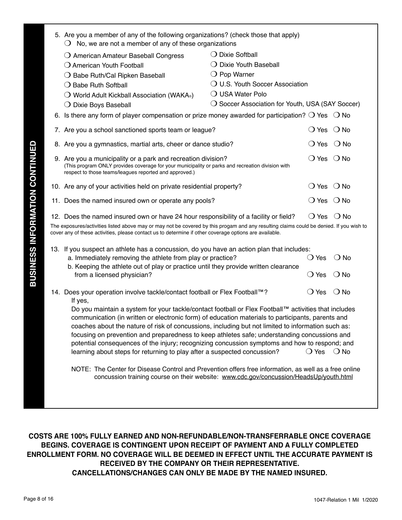|              | 5. Are you a member of any of the following organizations? (check those that apply)                                                                                                                                                                                                                                                                                                                                                                                                                                                                                                          |                                                                               |                              |                              |
|--------------|----------------------------------------------------------------------------------------------------------------------------------------------------------------------------------------------------------------------------------------------------------------------------------------------------------------------------------------------------------------------------------------------------------------------------------------------------------------------------------------------------------------------------------------------------------------------------------------------|-------------------------------------------------------------------------------|------------------------------|------------------------------|
|              | $\bigcirc$ No, we are not a member of any of these organizations                                                                                                                                                                                                                                                                                                                                                                                                                                                                                                                             |                                                                               |                              |                              |
|              | $\bigcirc$ American Amateur Baseball Congress                                                                                                                                                                                                                                                                                                                                                                                                                                                                                                                                                | $\bigcirc$ Dixie Softball                                                     |                              |                              |
|              | O American Youth Football                                                                                                                                                                                                                                                                                                                                                                                                                                                                                                                                                                    | $\bigcirc$ Dixie Youth Baseball                                               |                              |                              |
|              | O Babe Ruth/Cal Ripken Baseball                                                                                                                                                                                                                                                                                                                                                                                                                                                                                                                                                              | $\bigcirc$ Pop Warner                                                         |                              |                              |
|              | $\bigcirc$ Babe Ruth Softball                                                                                                                                                                                                                                                                                                                                                                                                                                                                                                                                                                | O U.S. Youth Soccer Association                                               |                              |                              |
|              | $\bigcirc$ World Adult Kickball Association (WAKA <sup>®</sup> )                                                                                                                                                                                                                                                                                                                                                                                                                                                                                                                             | $\bigcirc$ USA Water Polo<br>○ Soccer Association for Youth, USA (SAY Soccer) |                              |                              |
|              | $\bigcirc$ Dixie Boys Baseball<br>6. Is there any form of player compensation or prize money awarded for participation? $\bigcirc$ Yes $\bigcirc$ No                                                                                                                                                                                                                                                                                                                                                                                                                                         |                                                                               |                              |                              |
|              |                                                                                                                                                                                                                                                                                                                                                                                                                                                                                                                                                                                              |                                                                               |                              |                              |
|              | 7. Are you a school sanctioned sports team or league?                                                                                                                                                                                                                                                                                                                                                                                                                                                                                                                                        |                                                                               |                              | $\bigcirc$ Yes $\bigcirc$ No |
|              | 8. Are you a gymnastics, martial arts, cheer or dance studio?                                                                                                                                                                                                                                                                                                                                                                                                                                                                                                                                |                                                                               |                              | $\bigcirc$ Yes $\bigcirc$ No |
|              | 9. Are you a municipality or a park and recreation division?<br>(This program ONLY provides coverage for your municipality or parks and recreation division with<br>respect to those teams/leagues reported and approved.)                                                                                                                                                                                                                                                                                                                                                                   |                                                                               |                              | $\bigcirc$ Yes $\bigcirc$ No |
|              | 10. Are any of your activities held on private residential property?                                                                                                                                                                                                                                                                                                                                                                                                                                                                                                                         |                                                                               | $\bigcirc$ Yes $\bigcirc$ No |                              |
|              | 11. Does the named insured own or operate any pools?                                                                                                                                                                                                                                                                                                                                                                                                                                                                                                                                         |                                                                               | $\bigcirc$ Yes $\bigcirc$ No |                              |
|              | 12. Does the named insured own or have 24 hour responsibility of a facility or field?                                                                                                                                                                                                                                                                                                                                                                                                                                                                                                        |                                                                               |                              | $\bigcirc$ Yes $\bigcirc$ No |
|              | The exposures/activities listed above may or may not be covered by this progam and any resulting claims could be denied. If you wish to<br>cover any of these activities, please contact us to determine if other coverage options are available.                                                                                                                                                                                                                                                                                                                                            |                                                                               |                              |                              |
|              | 13. If you suspect an athlete has a concussion, do you have an action plan that includes:                                                                                                                                                                                                                                                                                                                                                                                                                                                                                                    |                                                                               |                              |                              |
|              | a. Immediately removing the athlete from play or practice?                                                                                                                                                                                                                                                                                                                                                                                                                                                                                                                                   |                                                                               | ◯ Yes                        | ○ No                         |
|              | b. Keeping the athlete out of play or practice until they provide written clearance<br>from a licensed physician?                                                                                                                                                                                                                                                                                                                                                                                                                                                                            |                                                                               | ◯ Yes                        | $\bigcirc$ No                |
|              | 14. Does your operation involve tackle/contact football or Flex Football™?<br>If yes,                                                                                                                                                                                                                                                                                                                                                                                                                                                                                                        |                                                                               | $\bigcirc$ Yes               | $\bigcirc$ No                |
|              | Do you maintain a system for your tackle/contact football or Flex Football™ activities that includes<br>communication (in written or electronic form) of education materials to participants, parents and<br>coaches about the nature of risk of concussions, including but not limited to information such as:<br>focusing on prevention and preparedness to keep athletes safe; understanding concussions and<br>potential consequences of the injury; recognizing concussion symptoms and how to respond; and<br>learning about steps for returning to play after a suspected concussion? |                                                                               | $\bigcirc$ Yes $\bigcirc$ No |                              |
|              | NOTE: The Center for Disease Control and Prevention offers free information, as well as a free online<br>concussion training course on their website: www.cdc.gov/concussion/HeadsUp/youth.html                                                                                                                                                                                                                                                                                                                                                                                              |                                                                               |                              |                              |
|              |                                                                                                                                                                                                                                                                                                                                                                                                                                                                                                                                                                                              |                                                                               |                              |                              |
|              | COSTS ARE 100% FULLY EARNED AND NON-REFUNDABLE/NON-TRANSFERRABLE ONCE COVERAGE<br>BEGINS, COVERAGE IS CONTINGENT UPON RECEIPT OF PAYMENT AND A FULLY COMPLETED<br>ENROLLMENT FORM. NO COVERAGE WILL BE DEEMED IN EFFECT UNTIL THE ACCURATE PAYMENT IS<br>RECEIVED BY THE COMPANY OR THEIR REPRESENTATIVE.<br><b>CANCELLATIONS/CHANGES CAN ONLY BE MADE BY THE NAMED INSURED.</b>                                                                                                                                                                                                             |                                                                               |                              |                              |
| Page 8 of 16 |                                                                                                                                                                                                                                                                                                                                                                                                                                                                                                                                                                                              |                                                                               |                              | 1047-Relation 1 Mil 1/2020   |

### **COSTS ARE 100% FULLY EARNED AND NON-REFUNDABLE/NON-TRANSFERRABLE ONCE COVERAGE BEGINS. COVERAGE IS CONTINGENT UPON RECEIPT OF PAYMENT AND A FULLY COMPLETED ENROLLMENT FORM. NO COVERAGE WILL BE DEEMED IN EFFECT UNTIL THE ACCURATE PAYMENT IS RECEIVED BY THE COMPANY OR THEIR REPRESENTATIVE. CANCELLATIONS/CHANGES CAN ONLY BE MADE BY THE NAMED INSURED.**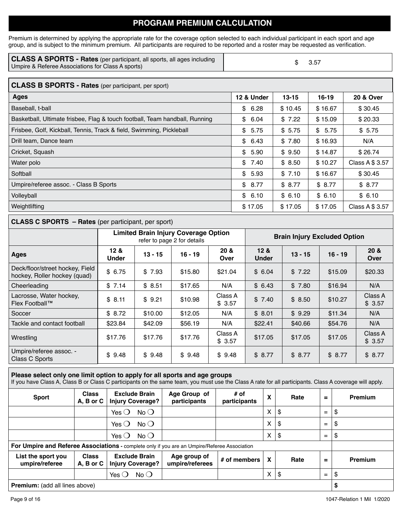### **PROGRAM PREMIUM CALCULATION**

Premium is determined by applying the appropriate rate for the coverage option selected to each individual participant in each sport and age group, and is subject to the minimum premium. All participants are required to be reported and a roster may be requested as verification.

| <b>CLASS A SPORTS - Rates</b> (per participant, all sports, all ages including | $\$\quad$ 3.57 |
|--------------------------------------------------------------------------------|----------------|
| Umpire & Referee Associations for Class A sports)                              |                |

| <b>CLASS B SPORTS - Rates (per participant, per sport)</b>                  |            |           |         |                      |  |  |  |
|-----------------------------------------------------------------------------|------------|-----------|---------|----------------------|--|--|--|
| <b>Ages</b>                                                                 | 12 & Under | $13 - 15$ | 16-19   | <b>20 &amp; Over</b> |  |  |  |
| Baseball, t-ball                                                            | \$6.28     | \$10.45   | \$16.67 | \$30.45              |  |  |  |
| Basketball, Ultimate frisbee, Flag & touch football, Team handball, Running | \$<br>6.04 | \$7.22    | \$15.09 | \$20.33              |  |  |  |
| Frisbee, Golf, Kickball, Tennis, Track & field, Swimming, Pickleball        | \$<br>5.75 | \$5.75    | \$5.75  | \$5.75               |  |  |  |
| Drill team, Dance team                                                      | \$6.43     | \$7.80    | \$16.93 | N/A                  |  |  |  |
| Cricket, Squash                                                             | \$<br>5.90 | \$9.50    | \$14.87 | \$26.74              |  |  |  |
| Water polo                                                                  | \$<br>7.40 | \$8.50    | \$10.27 | Class A \$ 3.57      |  |  |  |
| Softball                                                                    | \$5.93     | \$7.10    | \$16.67 | \$30.45              |  |  |  |
| Umpire/referee assoc. - Class B Sports                                      | \$8.77     | \$8.77    | \$8.77  | \$8.77               |  |  |  |
| Volleyball                                                                  | \$6.10     | \$6.10    | \$6.10  | \$6.10               |  |  |  |
| Weightlifting                                                               | \$17.05    | \$17.05   | \$17.05 | Class A \$ 3.57      |  |  |  |

#### **CLASS C SPORTS – Rates** (per participant, per sport)

|                                                                 | <b>Limited Brain Injury Coverage Option</b><br>refer to page 2 for details |           |           |                   | <b>Brain Injury Excluded Option</b> |           |           |                   |
|-----------------------------------------------------------------|----------------------------------------------------------------------------|-----------|-----------|-------------------|-------------------------------------|-----------|-----------|-------------------|
| Ages                                                            | 12 <sub>8</sub><br><b>Under</b>                                            | $13 - 15$ | $16 - 19$ | 20 &<br>Over      | 12 <sub>8</sub><br><b>Under</b>     | $13 - 15$ | $16 - 19$ | 20 &<br>Over      |
| Deck/floor/street hockey, Field<br>hockey, Roller hockey (quad) | \$6.75                                                                     | \$7.93    | \$15.80   | \$21.04           | \$6.04                              | \$7.22    | \$15.09   | \$20.33           |
| Cheerleading                                                    | \$7.14                                                                     | \$8.51    | \$17.65   | N/A               | \$6.43                              | \$7.80    | \$16.94   | N/A               |
| Lacrosse, Water hockey,<br>Flex Football™                       | \$8.11                                                                     | \$9.21    | \$10.98   | Class A<br>\$3.57 | \$7.40                              | \$8.50    | \$10.27   | Class A<br>\$3.57 |
| Soccer                                                          | \$8.72                                                                     | \$10.00   | \$12.05   | N/A               | \$8.01                              | \$9.29    | \$11.34   | N/A               |
| Tackle and contact football                                     | \$23.84                                                                    | \$42.09   | \$56.19   | N/A               | \$22.41                             | \$40.66   | \$54.76   | N/A               |
| Wrestling                                                       | \$17.76                                                                    | \$17.76   | \$17.76   | Class A<br>\$3.57 | \$17.05                             | \$17.05   | \$17.05   | Class A<br>\$3.57 |
| Umpire/referee assoc. -<br>Class C Sports                       | \$9.48                                                                     | \$9.48    | \$9.48    | \$9.48            | \$8.77                              | \$8.77    | \$8.77    | \$8.77            |

#### **Please select only one limit option to apply for all sports and age groups**

If you have Class A, Class B or Class C participants on the same team, you must use the Class A rate for all participants. Class A coverage will apply.

| <b>Sport</b>                                                                                 | <b>Class</b><br>A, B or C | <b>Exclude Brain</b><br><b>Injury Coverage?</b> | Age Group of<br>participants    | # of<br>participants | χ | Rate | $=$ | Premium        |
|----------------------------------------------------------------------------------------------|---------------------------|-------------------------------------------------|---------------------------------|----------------------|---|------|-----|----------------|
|                                                                                              |                           | Yes $\bigcirc$<br>$No$ $O$                      |                                 |                      | X | \$   | $=$ | \$             |
|                                                                                              |                           | $No$ $O$<br>Yes $\bigcirc$                      |                                 |                      | X | \$   | $=$ | \$             |
|                                                                                              |                           | Yes $\bigcirc$<br>$No$ $O$                      |                                 |                      | X | \$   | $=$ | \$             |
| For Umpire and Referee Associations - complete only if you are an Umpire/Referee Association |                           |                                                 |                                 |                      |   |      |     |                |
| List the sport you<br>umpire/referee                                                         | <b>Class</b><br>A, B or C | <b>Exclude Brain</b><br><b>Injury Coverage?</b> | Age group of<br>umpire/referees | # of members         | X | Rate | =   | <b>Premium</b> |
|                                                                                              |                           | $No$ $\bigcirc$<br>Yes $\bigcirc$               |                                 |                      | X | \$   | $=$ | \$             |
| <b>Premium:</b> (add all lines above)                                                        |                           |                                                 |                                 |                      |   |      | \$  |                |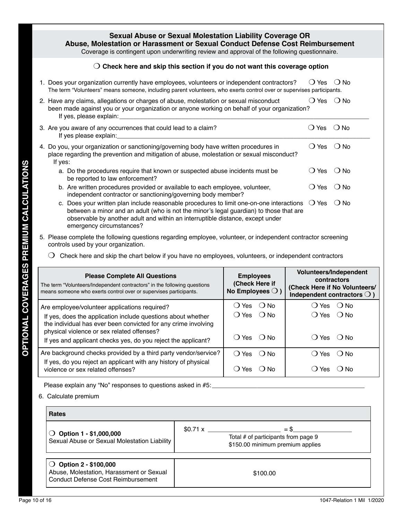### **Sexual Abuse or Sexual Molestation Liability Coverage OR Abuse, Molestation or Harassment or Sexual Conduct Defense Cost Reimbursement**

Coverage is contingent upon underwriting review and approval of the following questionnaire.

#### $\bigcirc$  Check here and skip this section if you do not want this coverage option

1. Does your organization currently have employees, volunteers or independent contractors?  $\Box$  Yes  $\Box$  No The term "Volunteers" means someone, including parent volunteers, who exerts control over or supervises participants.

|         | 2. Have any claims, allegations or charges of abuse, molestation or sexual misconduct<br>been made against you or your organization or anyone working on behalf of your organization?<br>If yes, please explain:                                                                                  | Yes<br>$\left( \quad \right)$ | ( ) No     |
|---------|---------------------------------------------------------------------------------------------------------------------------------------------------------------------------------------------------------------------------------------------------------------------------------------------------|-------------------------------|------------|
|         | 3. Are you aware of any occurrences that could lead to a claim?<br>If yes please explain:                                                                                                                                                                                                         | Yes<br>$\left( \quad \right)$ | $\odot$ No |
| If yes: | 4. Do you, your organization or sanctioning/governing body have written procedures in<br>place regarding the prevention and mitigation of abuse, molestation or sexual misconduct?                                                                                                                | ( ) Yes                       | $()$ No    |
|         | a. Do the procedures require that known or suspected abuse incidents must be<br>be reported to law enforcement?                                                                                                                                                                                   | ( ) Yes                       | ○ No       |
|         | b. Are written procedures provided or available to each employee, volunteer,<br>independent contractor or sanctioning/governing body member?                                                                                                                                                      | <b>Yes</b>                    | ( ) No     |
|         | c. Does your written plan include reasonable procedures to limit one-on-one interactions $\bigcirc$ Yes $\bigcirc$ No<br>between a minor and an adult (who is not the minor's legal guardian) to those that are<br>observable by another adult and within an interruptible distance, except under |                               |            |

- 5. Please complete the following questions regarding employee, volunteer, or independent contractor screening controls used by your organization.
	- $\bigcirc$  Check here and skip the chart below if you have no employees, volunteers, or independent contractors

| <b>Please Complete All Questions</b><br>The term "Volunteers/Independent contractors" in the following questions<br>means someone who exerts control over or supervises participants.                                                                                                          | <b>Employees</b><br>(Check Here if<br>No Employees $\bigcirc$ ) | <b>Volunteers/Independent</b><br>contractors<br>(Check Here if No Volunteers/<br>Independent contractors $\bigcirc$ ) |
|------------------------------------------------------------------------------------------------------------------------------------------------------------------------------------------------------------------------------------------------------------------------------------------------|-----------------------------------------------------------------|-----------------------------------------------------------------------------------------------------------------------|
| Are employee/volunteer applications required?<br>If yes, does the application include questions about whether<br>the individual has ever been convicted for any crime involving<br>physical violence or sex related offenses?<br>If yes and applicant checks yes, do you reject the applicant? | ( ) Yes<br>∩ No<br>() Yes () No<br>() Yes () No                 | () Yes () No<br>$()$ Yes $()$ No<br>$()$ Yes $()$ No                                                                  |
| Are background checks provided by a third party vendor/service?<br>If yes, do you reject an applicant with any history of physical<br>violence or sex related offenses?                                                                                                                        | () Yes () No<br>Yes<br>$\left( \quad \right)$<br>( ) N∩         | Yes<br>( ) No<br>$\left( \quad \right)$<br>( ) N∩<br>Yes                                                              |

Please explain any "No" responses to questions asked in #5: \_\_\_\_\_\_\_\_\_\_\_\_\_\_\_\_\_\_\_\_

emergency circumstances?

#### 6. Calculate premium

| <b>Rates</b>                                                                                                      |                                                                                               |  |  |  |
|-------------------------------------------------------------------------------------------------------------------|-----------------------------------------------------------------------------------------------|--|--|--|
| $\bigcirc$ Option 1 - \$1,000,000<br>Sexual Abuse or Sexual Molestation Liability                                 | \$0.71 x<br>$=$ \$<br>Total # of participants from page 9<br>\$150.00 minimum premium applies |  |  |  |
| $\bigcirc$ Option 2 - \$100,000<br>Abuse, Molestation, Harassment or Sexual<br>Conduct Defense Cost Reimbursement | \$100.00                                                                                      |  |  |  |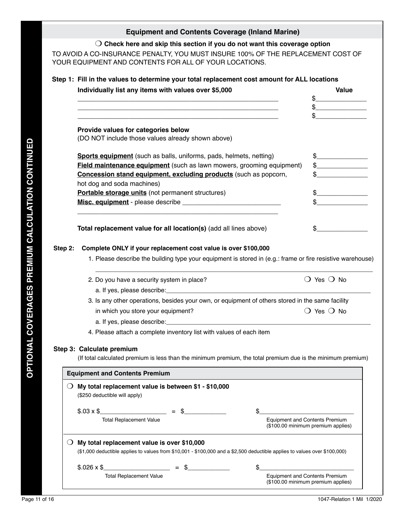### **Equipment and Contents Coverage (Inland Marine)**

m **Check here and skip this section if you do not want this coverage option**

TO AVOID A CO-INSURANCE PENALTY, YOU MUST INSURE 100% OF THE REPLACEMENT COST OF YOUR EQUIPMENT AND CONTENTS FOR ALL OF YOUR LOCATIONS.

### **Step 1: Fill in the values to determine your total replacement cost amount for ALL locations**

| Provide values for categories below<br>(DO NOT include those values already shown above)<br><b>Sports equipment</b> (such as balls, uniforms, pads, helmets, netting)<br><b>Field maintenance equipment</b> (such as lawn mowers, grooming equipment)<br>Concession stand equipment, excluding products (such as popcorn,<br>hot dog and soda machines)<br>Portable storage units (not permanent structures) | \$<br>$\begin{picture}(20,20) \put(0,0){\line(1,0){100}} \put(15,0){\line(1,0){100}} \put(15,0){\line(1,0){100}} \put(15,0){\line(1,0){100}} \put(15,0){\line(1,0){100}} \put(15,0){\line(1,0){100}} \put(15,0){\line(1,0){100}} \put(15,0){\line(1,0){100}} \put(15,0){\line(1,0){100}} \put(15,0){\line(1,0){100}} \put(15,0){\line(1,0){100}} \$<br>$\frac{1}{2}$<br>$\frac{1}{2}$                                                                                                                                                                          |
|--------------------------------------------------------------------------------------------------------------------------------------------------------------------------------------------------------------------------------------------------------------------------------------------------------------------------------------------------------------------------------------------------------------|----------------------------------------------------------------------------------------------------------------------------------------------------------------------------------------------------------------------------------------------------------------------------------------------------------------------------------------------------------------------------------------------------------------------------------------------------------------------------------------------------------------------------------------------------------------|
|                                                                                                                                                                                                                                                                                                                                                                                                              |                                                                                                                                                                                                                                                                                                                                                                                                                                                                                                                                                                |
|                                                                                                                                                                                                                                                                                                                                                                                                              |                                                                                                                                                                                                                                                                                                                                                                                                                                                                                                                                                                |
|                                                                                                                                                                                                                                                                                                                                                                                                              |                                                                                                                                                                                                                                                                                                                                                                                                                                                                                                                                                                |
|                                                                                                                                                                                                                                                                                                                                                                                                              |                                                                                                                                                                                                                                                                                                                                                                                                                                                                                                                                                                |
|                                                                                                                                                                                                                                                                                                                                                                                                              |                                                                                                                                                                                                                                                                                                                                                                                                                                                                                                                                                                |
|                                                                                                                                                                                                                                                                                                                                                                                                              |                                                                                                                                                                                                                                                                                                                                                                                                                                                                                                                                                                |
|                                                                                                                                                                                                                                                                                                                                                                                                              |                                                                                                                                                                                                                                                                                                                                                                                                                                                                                                                                                                |
|                                                                                                                                                                                                                                                                                                                                                                                                              |                                                                                                                                                                                                                                                                                                                                                                                                                                                                                                                                                                |
|                                                                                                                                                                                                                                                                                                                                                                                                              |                                                                                                                                                                                                                                                                                                                                                                                                                                                                                                                                                                |
|                                                                                                                                                                                                                                                                                                                                                                                                              |                                                                                                                                                                                                                                                                                                                                                                                                                                                                                                                                                                |
| Total replacement value for all location(s) (add all lines above)                                                                                                                                                                                                                                                                                                                                            | \$                                                                                                                                                                                                                                                                                                                                                                                                                                                                                                                                                             |
|                                                                                                                                                                                                                                                                                                                                                                                                              |                                                                                                                                                                                                                                                                                                                                                                                                                                                                                                                                                                |
| 1. Please describe the building type your equipment is stored in (e.g.: frame or fire resistive warehouse)                                                                                                                                                                                                                                                                                                   |                                                                                                                                                                                                                                                                                                                                                                                                                                                                                                                                                                |
| 2. Do you have a security system in place?                                                                                                                                                                                                                                                                                                                                                                   | $\bigcirc$ Yes $\bigcirc$ No                                                                                                                                                                                                                                                                                                                                                                                                                                                                                                                                   |
|                                                                                                                                                                                                                                                                                                                                                                                                              |                                                                                                                                                                                                                                                                                                                                                                                                                                                                                                                                                                |
|                                                                                                                                                                                                                                                                                                                                                                                                              |                                                                                                                                                                                                                                                                                                                                                                                                                                                                                                                                                                |
|                                                                                                                                                                                                                                                                                                                                                                                                              | $\bigcirc$ Yes $\bigcirc$ No                                                                                                                                                                                                                                                                                                                                                                                                                                                                                                                                   |
|                                                                                                                                                                                                                                                                                                                                                                                                              |                                                                                                                                                                                                                                                                                                                                                                                                                                                                                                                                                                |
|                                                                                                                                                                                                                                                                                                                                                                                                              |                                                                                                                                                                                                                                                                                                                                                                                                                                                                                                                                                                |
|                                                                                                                                                                                                                                                                                                                                                                                                              |                                                                                                                                                                                                                                                                                                                                                                                                                                                                                                                                                                |
|                                                                                                                                                                                                                                                                                                                                                                                                              |                                                                                                                                                                                                                                                                                                                                                                                                                                                                                                                                                                |
|                                                                                                                                                                                                                                                                                                                                                                                                              |                                                                                                                                                                                                                                                                                                                                                                                                                                                                                                                                                                |
|                                                                                                                                                                                                                                                                                                                                                                                                              |                                                                                                                                                                                                                                                                                                                                                                                                                                                                                                                                                                |
|                                                                                                                                                                                                                                                                                                                                                                                                              |                                                                                                                                                                                                                                                                                                                                                                                                                                                                                                                                                                |
|                                                                                                                                                                                                                                                                                                                                                                                                              |                                                                                                                                                                                                                                                                                                                                                                                                                                                                                                                                                                |
| $$.03 \times $$ = \$                                                                                                                                                                                                                                                                                                                                                                                         | \$                                                                                                                                                                                                                                                                                                                                                                                                                                                                                                                                                             |
|                                                                                                                                                                                                                                                                                                                                                                                                              | Complete ONLY if your replacement cost value is over \$100,000<br>3. Is any other operations, besides your own, or equipment of others stored in the same facility<br>in which you store your equipment?<br>4. Please attach a complete inventory list with values of each item<br>Step 3: Calculate premium<br>(If total calculated premium is less than the minimum premium, the total premium due is the minimum premium)<br><b>Equipment and Contents Premium</b><br>My total replacement value is between \$1 - \$10,000<br>(\$250 deductible will apply) |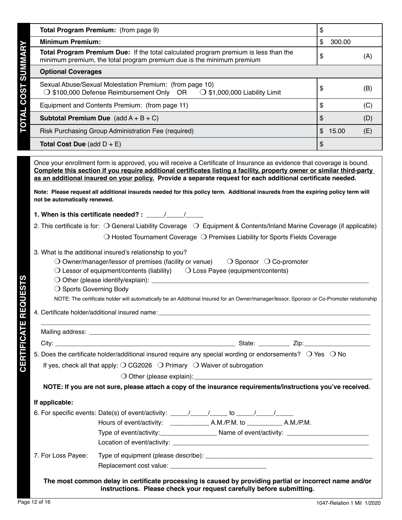|                                                                                                                                                                                                                                                                                                                                                                                                                                                                                                                                | Total Program Premium: (from page 9)                                                                                                                                                                                                                                                                                                                                      | \$ |        |     |  |
|--------------------------------------------------------------------------------------------------------------------------------------------------------------------------------------------------------------------------------------------------------------------------------------------------------------------------------------------------------------------------------------------------------------------------------------------------------------------------------------------------------------------------------|---------------------------------------------------------------------------------------------------------------------------------------------------------------------------------------------------------------------------------------------------------------------------------------------------------------------------------------------------------------------------|----|--------|-----|--|
| <b>Minimum Premium:</b>                                                                                                                                                                                                                                                                                                                                                                                                                                                                                                        |                                                                                                                                                                                                                                                                                                                                                                           | \$ | 300.00 |     |  |
| Total Program Premium Due: If the total calculated program premium is less than the<br>\$<br>(A)<br>minimum premium, the total program premium due is the minimum premium                                                                                                                                                                                                                                                                                                                                                      |                                                                                                                                                                                                                                                                                                                                                                           |    |        |     |  |
| <b>Optional Coverages</b>                                                                                                                                                                                                                                                                                                                                                                                                                                                                                                      |                                                                                                                                                                                                                                                                                                                                                                           |    |        |     |  |
|                                                                                                                                                                                                                                                                                                                                                                                                                                                                                                                                | Sexual Abuse/Sexual Molestation Premium: (from page 10)<br>$\bigcirc$ \$100,000 Defense Reimbursement Only OR<br>$\bigcirc$ \$1,000,000 Liability Limit                                                                                                                                                                                                                   | \$ |        | (B) |  |
|                                                                                                                                                                                                                                                                                                                                                                                                                                                                                                                                | Equipment and Contents Premium: (from page 11)                                                                                                                                                                                                                                                                                                                            | \$ |        | (C) |  |
|                                                                                                                                                                                                                                                                                                                                                                                                                                                                                                                                | <b>Subtotal Premium Due</b> (add $A + B + C$ )                                                                                                                                                                                                                                                                                                                            | \$ |        | (D) |  |
| <b>TOTAL COST SUMMARY</b><br>\$15.00<br>Risk Purchasing Group Administration Fee (required)<br>(E)                                                                                                                                                                                                                                                                                                                                                                                                                             |                                                                                                                                                                                                                                                                                                                                                                           |    |        |     |  |
| <b>Total Cost Due</b> (add $D + E$ )                                                                                                                                                                                                                                                                                                                                                                                                                                                                                           |                                                                                                                                                                                                                                                                                                                                                                           | \$ |        |     |  |
| not be automatically renewed.                                                                                                                                                                                                                                                                                                                                                                                                                                                                                                  | Complete this section if you require additional certificates listing a facility, property owner or similar third-party<br>as an additional insured on your policy. Provide a separate request for each additional certificate needed.<br>Note: Please request all additional insureds needed for this policy term. Additional insureds from the expiring policy term will |    |        |     |  |
|                                                                                                                                                                                                                                                                                                                                                                                                                                                                                                                                | 1. When is this certificate needed? : $\frac{1}{\sqrt{1-\frac{1}{2}}}$                                                                                                                                                                                                                                                                                                    |    |        |     |  |
|                                                                                                                                                                                                                                                                                                                                                                                                                                                                                                                                | 2. This certificate is for: $\bigcirc$ General Liability Coverage $\bigcirc$ Equipment & Contents/Inland Marine Coverage (if applicable)                                                                                                                                                                                                                                  |    |        |     |  |
|                                                                                                                                                                                                                                                                                                                                                                                                                                                                                                                                | $\bigcirc$ Hosted Tournament Coverage $\bigcirc$ Premises Liability for Sports Fields Coverage                                                                                                                                                                                                                                                                            |    |        |     |  |
| 3. What is the additional insured's relationship to you?<br>$\bigcirc$ Owner/manager/lessor of premises (facility or venue)<br>$\bigcirc$ Sponsor $\bigcirc$ Co-promoter<br>$\bigcirc$ Lessor of equipment/contents (liability) $\bigcirc$ Loss Payee (equipment/contents)<br><b>EQUESTS</b><br>○ Sports Governing Body<br>NOTE: The certificate holder will automatically be an Additional Insured for an Owner/manager/lessor, Sponsor or Co-Promoter relationship<br>4. Certificate holder/additional insured name: __<br>œ |                                                                                                                                                                                                                                                                                                                                                                           |    |        |     |  |
|                                                                                                                                                                                                                                                                                                                                                                                                                                                                                                                                |                                                                                                                                                                                                                                                                                                                                                                           |    |        |     |  |
|                                                                                                                                                                                                                                                                                                                                                                                                                                                                                                                                |                                                                                                                                                                                                                                                                                                                                                                           |    |        |     |  |
| <b>CERTIFICATE</b>                                                                                                                                                                                                                                                                                                                                                                                                                                                                                                             | 5. Does the certificate holder/additional insured require any special wording or endorsements? O Yes O No<br>If yes, check all that apply: $\bigcirc$ CG2026 $\bigcirc$ Primary $\bigcirc$ Waiver of subrogation                                                                                                                                                          |    |        |     |  |
|                                                                                                                                                                                                                                                                                                                                                                                                                                                                                                                                |                                                                                                                                                                                                                                                                                                                                                                           |    |        |     |  |
|                                                                                                                                                                                                                                                                                                                                                                                                                                                                                                                                | NOTE: If you are not sure, please attach a copy of the insurance requirements/instructions you've received.                                                                                                                                                                                                                                                               |    |        |     |  |
| If applicable:                                                                                                                                                                                                                                                                                                                                                                                                                                                                                                                 |                                                                                                                                                                                                                                                                                                                                                                           |    |        |     |  |
| 7. For Loss Payee:                                                                                                                                                                                                                                                                                                                                                                                                                                                                                                             |                                                                                                                                                                                                                                                                                                                                                                           |    |        |     |  |
|                                                                                                                                                                                                                                                                                                                                                                                                                                                                                                                                | The most common delay in certificate processing is caused by providing partial or incorrect name and/or                                                                                                                                                                                                                                                                   |    |        |     |  |

**instructions. Please check your request carefully before submitting.**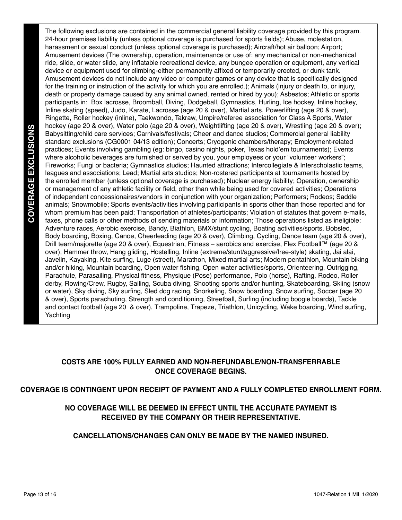So the method of the state in the state of the state of the state of the state of the state of the state of the state of the state of the state of the state of the state of the state of the state of the state of the state The following exclusions are contained in the commercial general liability coverage provided by this program. 24-hour premises liability (unless optional coverage is purchased for sports fields); Abuse, molestation, harassment or sexual conduct (unless optional coverage is purchased); Aircraft/hot air balloon; Airport; Amusement devices (The ownership, operation, maintenance or use of: any mechanical or non-mechanical ride, slide, or water slide, any inflatable recreational device, any bungee operation or equipment, any vertical device or equipment used for climbing-either permanently affixed or temporarily erected, or dunk tank. Amusement devices do not include any video or computer games or any device that is specifically designed for the training or instruction of the activity for which you are enrolled.); Animals (injury or death to, or injury, death or property damage caused by any animal owned, rented or hired by you); Asbestos; Athletic or sports participants in: Box lacrosse, Broomball, Diving, Dodgeball, Gymnastics, Hurling, Ice hockey, Inline hockey, Inline skating (speed), Judo, Karate, Lacrosse (age 20 & over), Martial arts, Powerlifting (age 20 & over), Ringette, Roller hockey (inline), Taekwondo, Takraw, Umpire/referee association for Class A Sports, Water hockey (age 20 & over), Water polo (age 20 & over), Weightlifting (age 20 & over), Wrestling (age 20 & over); Babysitting/child care services; Carnivals/festivals; Cheer and dance studios; Commercial general liability standard exclusions (CG0001 04/13 edition); Concerts; Cryogenic chambers/therapy; Employment-related practices; Events involving gambling (eg: bingo, casino nights, poker, Texas hold'em tournaments); Events where alcoholic beverages are furnished or served by you, your employees or your "volunteer workers"; Fireworks; Fungi or bacteria; Gymnastics studios; Haunted attractions; Intercollegiate & Interscholastic teams, leagues and associations; Lead; Martial arts studios; Non-rostered participants at tournaments hosted by the enrolled member (unless optional coverage is purchased); Nuclear energy liability; Operation, ownership or management of any athletic facility or field, other than while being used for covered activities; Operations of independent concessionaires/vendors in conjunction with your organization; Performers; Rodeos; Saddle animals; Snowmobile; Sports events/activities involving participants in sports other than those reported and for whom premium has been paid; Transportation of athletes/participants; Violation of statutes that govern e-mails, faxes, phone calls or other methods of sending materials or information; Those operations listed as ineligible: Adventure races, Aerobic exercise, Bandy, Biathlon, BMX/stunt cycling, Boating activities/sports, Bobsled, Body boarding, Boxing, Canoe, Cheerleading (age 20 & over), Climbing, Cycling, Dance team (age 20 & over), Drill team/majorette (age 20 & over), Equestrian, Fitness – aerobics and exercise, Flex Football™ (age 20 & over), Hammer throw, Hang gliding, Hostelling, Inline (extreme/stunt/aggressive/free-style) skating, Jai alai, Javelin, Kayaking, Kite surfing, Luge (street), Marathon, Mixed martial arts; Modern pentathlon, Mountain biking and/or hiking, Mountain boarding, Open water fishing, Open water activities/sports, Orienteering, Outrigging, Parachute, Parasailing, Physical fitness, Physique (Pose) performance, Polo (horse), Rafting, Rodeo, Roller derby, Rowing/Crew, Rugby, Sailing, Scuba diving, Shooting sports and/or hunting, Skateboarding, Skiing (snow or water), Sky diving, Sky surfing, Sled dog racing, Snorkeling, Snow boarding, Snow surfing, Soccer (age 20 & over), Sports parachuting, Strength and conditioning, Streetball, Surfing (including boogie boards), Tackle and contact football (age 20 & over), Trampoline, Trapeze, Triathlon, Unicycling, Wake boarding, Wind surfing, Yachting

### **COSTS ARE 100% FULLY EARNED AND NON-REFUNDABLE/NON-TRANSFERRABLE ONCE COVERAGE BEGINS.**

### **COVERAGE IS CONTINGENT UPON RECEIPT OF PAYMENT AND A FULLY COMPLETED ENROLLMENT FORM.**

### **NO COVERAGE WILL BE DEEMED IN EFFECT UNTIL THE ACCURATE PAYMENT IS RECEIVED BY THE COMPANY OR THEIR REPRESENTATIVE.**

### **CANCELLATIONS/CHANGES CAN ONLY BE MADE BY THE NAMED INSURED.**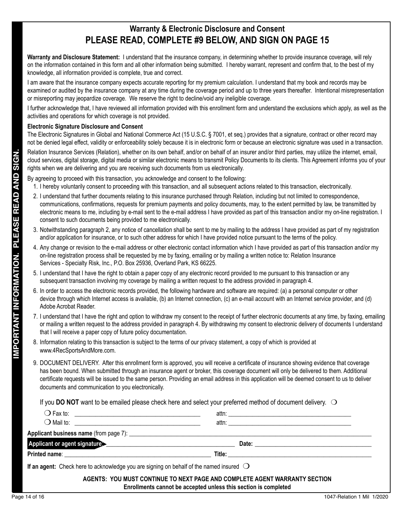## **Warranty & Electronic Disclosure and Consent PLEASE READ, COMPLETE #9 BELOW, AND SIGN ON PAGE 15**

**Warranty and Disclosure Statement:** I understand that the insurance company, in determining whether to provide insurance coverage, will rely on the information contained in this form and all other information being submitted. I hereby warrant, represent and confirm that, to the best of my knowledge, all information provided is complete, true and correct.

I am aware that the insurance company expects accurate reporting for my premium calculation. I understand that my book and records may be examined or audited by the insurance company at any time during the coverage period and up to three years thereafter. Intentional misrepresentation or misreporting may jeopardize coverage. We reserve the right to decline/void any ineligible coverage.

I further acknowledge that, I have reviewed all information provided with this enrollment form and understand the exclusions which apply, as well as the activities and operations for which coverage is not provided.

#### **Electronic Signature Disclosure and Consent**

The Electronic Signatures in Global and National Commerce Act (15 U.S.C. § 7001, et seq.) provides that a signature, contract or other record may not be denied legal effect, validity or enforceability solely because it is in electronic form or because an electronic signature was used in a transaction.

Relation Insurance Services (Relation), whether on its own behalf, and/or on behalf of an insurer and/or third parties, may utilize the internet, email, cloud services, digital storage, digital media or similar electronic means to transmit Policy Documents to its clients. This Agreement informs you of your rights when we are delivering and you are receiving such documents from us electronically.

- 1. I hereby voluntarily consent to proceeding with this transaction, and all subsequent actions related to this transaction, electronically.
- 2. I understand that further documents relating to this insurance purchased through Relation, including but not limited to correspondence, communications, confirmations, requests for premium payments and policy documents, may, to the extent permitted by law, be transmitted by electronic means to me, including by e-mail sent to the e-mail address I have provided as part of this transaction and/or my on-line registration. I consent to such documents being provided to me electronically.
- 3. Notwithstanding paragraph 2, any notice of cancellation shall be sent to me by mailing to the address I have provided as part of my registration and/or application for insurance, or to such other address for which I have provided notice pursuant to the terms of the policy.
- 4. Any change or revision to the e-mail address or other electronic contact information which I have provided as part of this transaction and/or my on-line registration process shall be requested by me by faxing, emailing or by mailing a written notice to: Relation Insurance Services - Specialty Risk, Inc., P.O. Box 25936, Overland Park, KS 66225.
- 5. I understand that I have the right to obtain a paper copy of any electronic record provided to me pursuant to this transaction or any subsequent transaction involving my coverage by mailing a written request to the address provided in paragraph 4.
- 6. In order to access the electronic records provided, the following hardware and software are required: (a) a personal computer or other device through which Internet access is available, (b) an Internet connection, (c) an e-mail account with an Internet service provider, and (d) Adobe Acrobat Reader.
- 7. I understand that I have the right and option to withdraw my consent to the receipt of further electronic documents at any time, by faxing, emailing or mailing a written request to the address provided in paragraph 4. By withdrawing my consent to electronic delivery of documents I understand that I will receive a paper copy of future policy documentation.
- 8. Information relating to this transaction is subject to the terms of our privacy statement, a copy of which is provided at www.4RecSportsAndMore.com.
- 9. DOCUMENT DELIVERY. After this enrollment form is approved, you will receive a certificate of insurance showing evidence that coverage has been bound. When submitted through an insurance agent or broker, this coverage document will only be delivered to them. Additional certificate requests will be issued to the same person. Providing an email address in this application will be deemed consent to us to deliver documents and communication to you electronically.

| <b>IMPORTANT INFORMATION. PLEASE READ AND SIGN.</b>                                        | Relation Insurance Services (Relation), whether on its own behalf, and/or on behalf of an insurer and/or third parties, may utilize the internet, email,<br>cloud services, digital storage, digital media or similar electronic means to transmit Policy Documents to its clients. This Agreement informs you of your                                                                                                                          |
|--------------------------------------------------------------------------------------------|-------------------------------------------------------------------------------------------------------------------------------------------------------------------------------------------------------------------------------------------------------------------------------------------------------------------------------------------------------------------------------------------------------------------------------------------------|
| rights when we are delivering and you are receiving such documents from us electronically. |                                                                                                                                                                                                                                                                                                                                                                                                                                                 |
|                                                                                            | By agreeing to proceed with this transaction, you acknowledge and consent to the following:                                                                                                                                                                                                                                                                                                                                                     |
|                                                                                            | 1. I hereby voluntarily consent to proceeding with this transaction, and all subsequent actions related to this transaction, electronically.                                                                                                                                                                                                                                                                                                    |
| consent to such documents being provided to me electronically.                             | 2. I understand that further documents relating to this insurance purchased through Relation, including but not limited to correspondence,<br>communications, confirmations, requests for premium payments and policy documents, may, to the extent permitted by law, be transmitted by<br>electronic means to me, including by e-mail sent to the e-mail address I have provided as part of this transaction and/or my on-line registration. I |
|                                                                                            | 3. Notwithstanding paragraph 2, any notice of cancellation shall be sent to me by mailing to the address I have provided as part of my registration<br>and/or application for insurance, or to such other address for which I have provided notice pursuant to the terms of the policy.                                                                                                                                                         |
| Services - Specialty Risk, Inc., P.O. Box 25936, Overland Park, KS 66225.                  | 4. Any change or revision to the e-mail address or other electronic contact information which I have provided as part of this transaction and/or my<br>on-line registration process shall be requested by me by faxing, emailing or by mailing a written notice to: Relation Insurance                                                                                                                                                          |
|                                                                                            | 5. I understand that I have the right to obtain a paper copy of any electronic record provided to me pursuant to this transaction or any<br>subsequent transaction involving my coverage by mailing a written request to the address provided in paragraph 4.                                                                                                                                                                                   |
| Adobe Acrobat Reader.                                                                      | 6. In order to access the electronic records provided, the following hardware and software are required: (a) a personal computer or other<br>device through which Internet access is available, (b) an Internet connection, (c) an e-mail account with an Internet service provider, and (d)                                                                                                                                                    |
| that I will receive a paper copy of future policy documentation.                           | 7. I understand that I have the right and option to withdraw my consent to the receipt of further electronic documents at any time, by faxing, emailing<br>or mailing a written request to the address provided in paragraph 4. By withdrawing my consent to electronic delivery of documents I understand                                                                                                                                      |
| www.4RecSportsAndMore.com.                                                                 | 8. Information relating to this transaction is subject to the terms of our privacy statement, a copy of which is provided at                                                                                                                                                                                                                                                                                                                    |
| documents and communication to you electronically.                                         | 9. DOCUMENT DELIVERY. After this enrollment form is approved, you will receive a certificate of insurance showing evidence that coverage<br>has been bound. When submitted through an insurance agent or broker, this coverage document will only be delivered to them. Additional<br>certificate requests will be issued to the same person. Providing an email address in this application will be deemed consent to us to deliver            |
|                                                                                            | If you DO NOT want to be emailed please check here and select your preferred method of document delivery. $\bigcirc$                                                                                                                                                                                                                                                                                                                            |
|                                                                                            |                                                                                                                                                                                                                                                                                                                                                                                                                                                 |
| $\bigcirc$ Mail to:                                                                        | attn: and the state of the state of the state of the state of the state of the state of the state of the state of the state of the state of the state of the state of the state of the state of the state of the state of the                                                                                                                                                                                                                   |
|                                                                                            |                                                                                                                                                                                                                                                                                                                                                                                                                                                 |
| Applicant or agent signature                                                               | __ Date: _____                                                                                                                                                                                                                                                                                                                                                                                                                                  |
|                                                                                            |                                                                                                                                                                                                                                                                                                                                                                                                                                                 |
|                                                                                            | If an agent: Check here to acknowledge you are signing on behalf of the named insured $\bigcirc$                                                                                                                                                                                                                                                                                                                                                |
|                                                                                            | AGENTS: YOU MUST CONTINUE TO NEXT PAGE AND COMPLETE AGENT WARRANTY SECTION<br>Enrollments cannot be accepted unless this section is completed                                                                                                                                                                                                                                                                                                   |
| Page 14 of 16                                                                              | 1047-Relation 1 Mil 1/2020                                                                                                                                                                                                                                                                                                                                                                                                                      |
|                                                                                            |                                                                                                                                                                                                                                                                                                                                                                                                                                                 |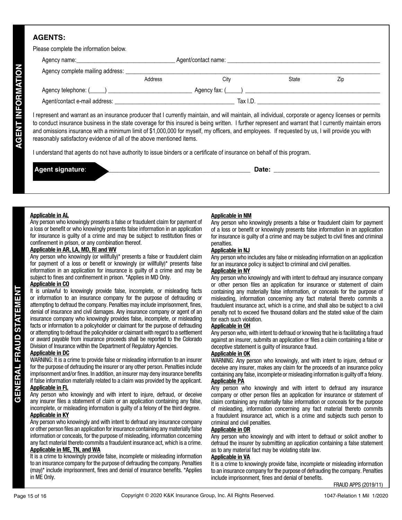### **AGENTS:**

| Address | City | State | Zip                                             |  |
|---------|------|-------|-------------------------------------------------|--|
|         |      |       |                                                 |  |
|         |      |       |                                                 |  |
|         |      |       | Agent/contact name: _______________<br>Tax I.D. |  |

I represent and warrant as an insurance producer that I currently maintain, and will maintain, all individual, corporate or agency licenses or permits to conduct insurance business in the state coverage for this insured is being written. I further represent and warrant that I currently maintain errors and omissions insurance with a minimum limit of \$1,000,000 for myself, my officers, and employees. If requested by us, I will provide you with reasonably satisfactory evidence of all of the above mentioned items.

I understand that agents do not have authority to issue binders or a certificate of insurance on behalf of this program.

| $\overline{\phantom{a}}$<br>. .<br>. . | Date: |
|----------------------------------------|-------|
|                                        |       |

#### **Applicable in AL**

Any person who knowingly presents a false or fraudulent claim for payment of a loss or benefit or who knowingly presents false information in an application for insurance is guilty of a crime and may be subject to restitution fines or confinement in prison, or any combination thereof.

#### **Applicable in AR, LA, MD, RI and WV**

Any person who knowingly (or willfully)\* presents a false or fraudulent claim for payment of a loss or benefit or knowingly (or willfully)\* presents false information in an application for insurance is guilty of a crime and may be subject to fines and confinement in prison. \*Applies in MD Only.

#### **Applicable in CO**

The uniterative by the state method in the symptometic season. The paper of the state in the symptometic contents and the interaction of the purpose of defrauding or method in the material and which kies information at con It is unlawful to knowingly provide false, incomplete, or misleading facts or information to an insurance company for the purpose of defrauding or attempting to defraud the company. Penalties may include imprisonment, fines, denial of insurance and civil damages. Any insurance company or agent of an insurance company who knowingly provides false, incomplete, or misleading facts or information to a policyholder or claimant for the purpose of defrauding or attempting to defraud the policyholder or claimant with regard to a settlement or award payable from insurance proceeds shall be reported to the Colorado Division of Insurance within the Department of Regulatory Agencies.

#### **Applicable in DC**

WARNING: It is a crime to provide false or misleading information to an insurer for the purpose of defrauding the insurer or any other person. Penalties include imprisonment and/or fines. In addition, an insurer may deny insurance benefits if false information materially related to a claim was provided by the applicant.

#### **Applicable in FL**

Any person who knowingly and with intent to injure, defraud, or deceive any insurer files a statement of claim or an application containing any false, incomplete, or misleading information is guilty of a felony of the third degree.

#### **Applicable in KY**

Any person who knowingly and with intent to defraud any insurance company or other person files an application for insurance containing any materially false information or conceals, for the purpose of misleading, information concerning any fact material thereto commits a fraudulent insurance act, which is a crime. **Applicable in ME, TN, and WA**

It is a crime to knowingly provide false, incomplete or misleading information to an insurance company for the purpose of defrauding the company. Penalties (may)\* include imprisonment, fines and denial of insurance benefits. \*Applies in ME Only.

#### **Applicable in NM**

Any person who knowingly presents a false or fraudulent claim for payment of a loss or benefit or knowingly presents false information in an application for insurance is guilty of a crime and may be subject to civil fines and criminal penalties.

#### **Applicable in NJ**

Any person who includes any false or misleading information on an application for an insurance policy is subject to criminal and civil penalties.

#### **Applicable in NY**

Any person who knowingly and with intent to defraud any insurance company or other person files an application for insurance or statement of claim containing any materially false information, or conceals for the purpose of misleading, information concerning any fact material thereto commits a fraudulent insurance act, which is a crime, and shall also be subject to a civil penalty not to exceed five thousand dollars and the stated value of the claim for each such violation.

#### **Applicable in OH**

Any person who, with intent to defraud or knowing that he is facilitating a fraud against an insurer, submits an application or files a claim containing a false or deceptive statement is guilty of insurance fraud.

#### **Applicable in OK**

WARNING: Any person who knowingly, and with intent to injure, defraud or deceive any insurer, makes any claim for the proceeds of an insurance policy containing any false, incomplete or misleading information is guilty off a felony. **Applicable PA**

Any person who knowingly and with intent to defraud any insurance company or other person files an application for insurance or statement of claim containing any materially false information or conceals for the purpose of misleading, information concerning any fact material thereto commits a fraudulent insurance act, which is a crime and subjects such person to criminal and civil penalties.

#### **Applicable in OR**

Any person who knowingly and with intent to defraud or solicit another to defraud the insurer by submitting an application containing a false statement as to any material fact may be violating state law.

#### **Applicable in VA**

It is a crime to knowingly provide false, incomplete or misleading information to an insurance company for the purpose of defrauding the company. Penalties include imprisonment, fines and denial of benefits.

FRAUD APPS (2019/11)